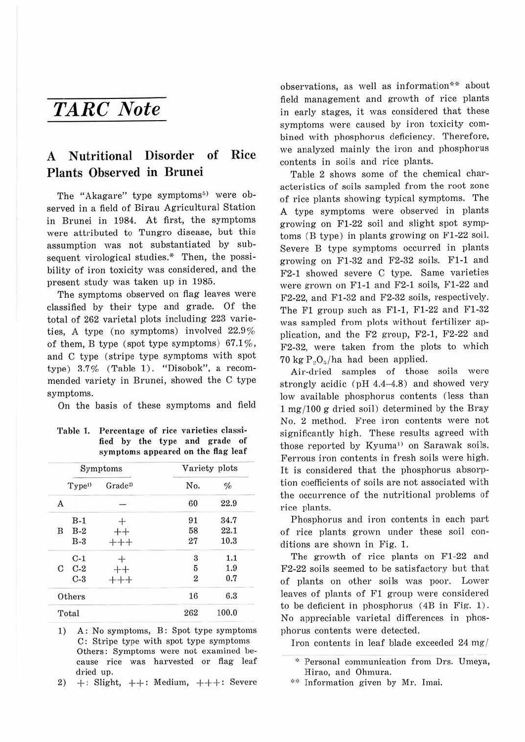## *TARC Note*

## **A Nutritional Disorder of Rice Plants Observed in Brunei**

The "Akagare" type symptoms<sup>5)</sup> were observed in a field of Birau Agricultural Station in Brunei in 1984. At first, the symptoms were attributed to Tungro disease, but this assumption was not substantiated by subsequent virological studies.\* Then, the possibility of iron toxicity was considered, and the present study was taken up in 1985.

The symptoms observed on flag leaves were classified by their type and grade. Of the total of 262 varietal plots including 223 varieties, A type (no symptoms) involved 22.9% of them, B type (spot type symptoms)  $67.1\%$ , and C type (stripe type symptoms with spot type) 3.7% (Table 1). "Disobok", a recommended variety in Brunei, showed the C type symptoms.

On the basis of these symptoms and field

| Table 1. | Percentage of rice varieties classi- |  |  |  |                                    |  |
|----------|--------------------------------------|--|--|--|------------------------------------|--|
|          |                                      |  |  |  | fied by the type and grade of      |  |
|          |                                      |  |  |  | symptoms appeared on the flag leaf |  |

|   |                    | Symptoms           |                | Variety plots |
|---|--------------------|--------------------|----------------|---------------|
|   | Type <sup>1)</sup> | Grade <sup>2</sup> | No.            | $\%$          |
| A |                    |                    | 60             | 22.9          |
|   | $B-1$              |                    | 91             | 34.7          |
| B | $B-2$              |                    | 58             | 22.1          |
|   | $B-3$              |                    | 27             | 10.3          |
|   | $C-1$              |                    | 3              | 1.1           |
|   | $C$ $C-2$          |                    | $\overline{5}$ | 1.9           |
|   | $C-3$              |                    | $\overline{2}$ | 0.7           |
|   | Others             |                    | 16             | 6.3           |
|   | Total              |                    | 262            | 100.0         |

1) A: No symptoms, B: Spot type symptoms C: Stripe type with spot type symptoms Others: Symptoms were not examined because rice was harvested or flag leaf dried up.

2)  $+$ : Slight,  $++$ : Medium,  $++$ : Severe

observations, as well as information\*\* about field management and growth of rice plants in early stages, it was considered that these symptoms were caused by iron toxicity combined with phosphorus deficiency. Therefore, we analyzed mainly the iron and phosphorus contents in soils and rice plants.

Table 2 shows some of the chemical characteristics of soils sampled from the root zone of rice plants showing typical symptoms. The A type symptoms were observed in plants growing on Fl-22 soil and slight spot symptoms (B type) in plants growing on Fl-22 soil. Severe B type symptoms occurred in plants growing on Fl-32 and F2-32 soils. Fl-1 and F2-1 showed severe C type. Same varieties were grown on Fl-1 and F2-1 soils, Fl-22 and F2-22, and Fl-32 and F2-32 soils, respectively. The F1 group such as F1-1, F1-22 and F1-32 was sampled from plots without fertilizer application, and the F2 group, F2-1, F2-22 and F2-32, were taken from the plots to which  $70 \text{ kg } P. O.$  /ha had been applied.

Air-dried samples of those soils were strongly acidic ( $pH$  4.4-4.8) and showed very low available phosphorus contents (less than 1 mg/ 100 g dried soil) determined by the Bray No. 2 method. Free iron contents were not significantly high. These results agreed with those reported by Kyuma<sup>1)</sup> on Sarawak soils. Ferrous iron contents in fresh soils were high. It is considered that the phosphorus absorption coefficients of soils are not associated with the occurrence of the nutritional problems of rice plants.

Phosphorus and iron contents in each part of rice plants grown under these soil conditions are shown in Fig. 1.

The growth of rice plants on Fl-22 and F2-22 soils seemed to be satisfactory but that of plants on other soils was poor. Lower leaves of plants of Fl group were considered to be deficient in phosphorus ( 4B in Fig. 1). No appreciable varietal differences in phosphorus contents were detected.

Iron contents in leaf blade exceeded 24 mg /

<sup>\*</sup> Personal communication from Drs. Umeya, Hirao, and Ohmura.

<sup>\*\*</sup> Information given by Mr. Imai.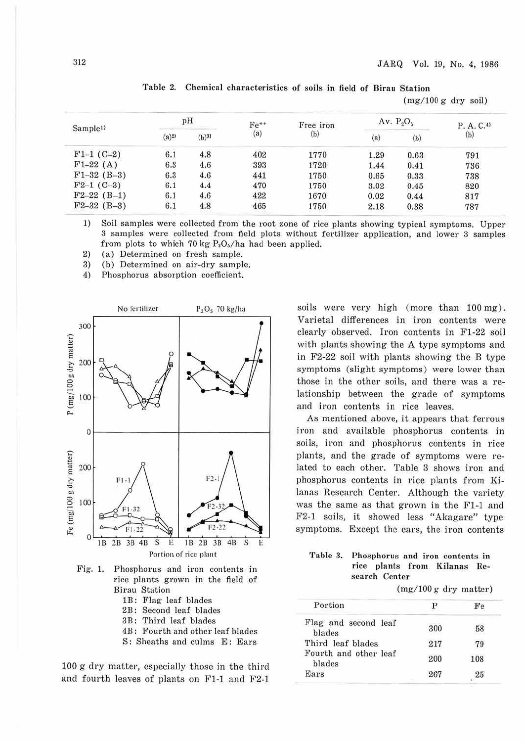$(mg/100 g$  dry soil)

|                      |                     |                     |           |                  |                   |                        | THE REPORT OF THE CONTRACTOR OF THE CONTRACTOR OF THE CONTRACTOR. |
|----------------------|---------------------|---------------------|-----------|------------------|-------------------|------------------------|-------------------------------------------------------------------|
| Sample <sup>1)</sup> |                     | pH                  | $Fe^{++}$ | Free iron<br>(b) | Av. $P_2O_5$      | P. A. C. <sup>4)</sup> |                                                                   |
|                      | $(a)$ <sup>2)</sup> | $(b)$ <sup>3)</sup> | (a)       |                  | $\left( a\right)$ | (b)                    | $\left(\mathrm{b}\right)$                                         |
| $F1-1$ (C-2)         | 6.1                 | 4.8                 | 402       | 1770             | 1.29              | 0.63                   | 791                                                               |
| $F1-22(A)$           | 6.3                 | 4.6                 | 393       | 1720             | 1.44              | 0.41                   | 736                                                               |
| $F1-32$ (B-3)        | 6.3                 | 4.6                 | 441       | 1750             | 0.65              | 0.33                   | 738                                                               |
| $F2-1$ (C-3)         | 6.1                 | 4.4                 | 470       | 1750             | 3.02              | 0.45                   | 820                                                               |
| $F2-22(B-1)$         | 6.1                 | 4.6                 | 422       | 1670             | 0.02              | 0.44                   | 817                                                               |
| $F2-32$ (B-3)        | 6.1                 | 4.8                 | 465       | 1750             | 2.18              | 0.38                   | 787                                                               |

|  | Table 2. Chemical characteristics of soils in field of Birau Station |  |  |  |  |
|--|----------------------------------------------------------------------|--|--|--|--|
|  |                                                                      |  |  |  |  |

1) Soil samples were collected from the root zone of rice plants showing typical symptoms. Upper 3 samples were collected from field plots without fertilizer application, and lower 3 samples from plots to which 70 kg  $P_2O_5/ha$  had been applied.

2) (a) Determined on fresh sample.<br>3) (b) Determined on air-dry sampl

(b) Determined on air-dry sample.

4) Phosphorus absorption coefficient.



Fig. 1. Phosphorus and iron contents in rice plants grown in the field of Birau Station

- lB: Flag leaf blades
- 2B: Second leaf blades
- 3B: Third leaf blades
- 4B : Fourth and other leaf blades
- S: Sheaths and culms E: Ears

100 g dry matter, especially those in the third and fourth leaves of plants on F1-1 and F2-1 soils were very high (more than 100 mg) . Varietal differences in iron contents were clearly observed. Iron contents in Fl-22 soil with plants showing the A type symptoms and in F2-22 soil with plants showing the B type symptoms (slight symptoms) were lower than those in the other soils, and there was a relationship between the grade of symptoms and iron contents in rice leaves.

As mentioned above, it appears that ferrous iron and available phosphorus contents in soils, iron and phosphorus contents in rice plants, and the grade of symptoms were related to each other. Table 3 shows iron and phosphorus contents in rice plants from Kilanas Research Center. Although the variety was the same as that grown in the Fl-1 and F2-1 soils, it showed less "Akagare" type symptoms. Except the ears, the iron contents

## **Table 3. Phosphorus and iron contents in rice plants from Kilanas Research Center**

 $(mg/100 g$  dry matter)

| Portion                         |     | Fe  |
|---------------------------------|-----|-----|
| Flag and second leaf<br>blades  | 300 | 58  |
| Third leaf blades               | 217 | 79  |
| Fourth and other leaf<br>blades | 200 | 108 |
| Ears                            | 267 | 25  |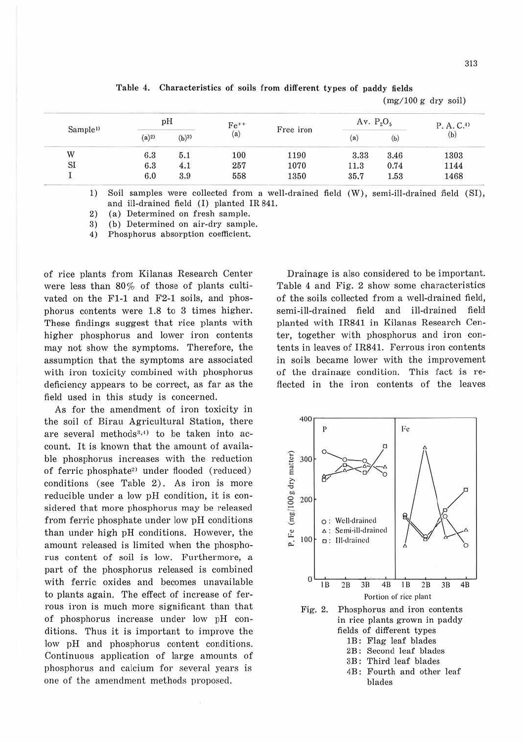| 313 |  |
|-----|--|

|                                    |     |                                         |           |      |              |      | $(mg/100 g$ dry soil)     |
|------------------------------------|-----|-----------------------------------------|-----------|------|--------------|------|---------------------------|
|                                    |     | рH                                      | $Fe^{++}$ |      | Av. $P_2O_5$ |      | $P. A. C.$ <sup>(1)</sup> |
| Sample <sup>1)</sup><br>$(a)^{2)}$ |     | $\left( \mathrm{a}\right)$<br>$(b)^{3}$ | Free iron | (a)  | (b)          | (b)  |                           |
| W                                  | 6.3 | 5.1                                     | 100       | 1190 | 3.33         | 3.46 | 1303                      |
| SI                                 | 6.3 | 4.1                                     | 257       | 1070 | 11.3         | 0.74 | 1144                      |
|                                    | 6.0 | 3.9                                     | 558       | 1350 | 35.7         | 1.53 | 1468                      |

Table 4. Characteristics of soils from different types of paddy fields

1) Soil samples were collected from a well-drained field (W), semi-ill-drained field (SI), and ill-drained field (I) planted IR 841.

2) (a) Determined on fresh sample.

3) (b) Determined on air-dry sample.

4) Phosphorus absorption coefficient.

of rice plants from Kilanas Research Center were less than 80% of those of plants cultivated on the Fl-1 and F2-1 soils, and phosphorus contents were 1.8 to S times higher. These findings suggest that rice plants with higher phosphorus and lower iron contents may not show the symptoms. Therefore, the assumption that the symptoms are associated with iron toxicity combined with phosphorus deficiency appears to be correct, as far as the field used in this study is concemed.

As for the amendment of iron toxicity in the soil of Birau Agricultural Station, there are several methods<sup>3,4)</sup> to be taken into account. It is known that the amount of available phosphorus increases with the reduction of ferric phosphate<sup>2)</sup> under flooded (reduced) conditions (see Table 2). As iron is more reducible under a low pH condition, it is considered that more phosphorus may be released from ferric phosphate under low pH conditions than under high pH conditions. However, the amount released is limited when the phosphorus content of soil is low. Furthermore, a part of the phosphorus released is combined with ferric oxides and becomes unavailable to plants again. The effect of increase of ferrous iron is much more significant than that of phosphorus increase under low pH conditions. Thus it is important to improve the low pH and phosphorus content conditions. Continuous application of large amounts of phosphorus and calcium for several years is one of the amendment methods proposed.

Drainage is also considered to be important. Table 4 and Fig. 2 show some characteristics of the soils collected from a well-drained field, semi-ill-drained field and ill-drained field planted with IR841 in Kilanas Research Center, together with phosphorus and iron contents in leaves of IR841. Ferrous iron contents in soils became lower with the improvement of the drainage condition. This fact is reflected in the iron contents of the leaves



4B: Fourth and other leaf blades